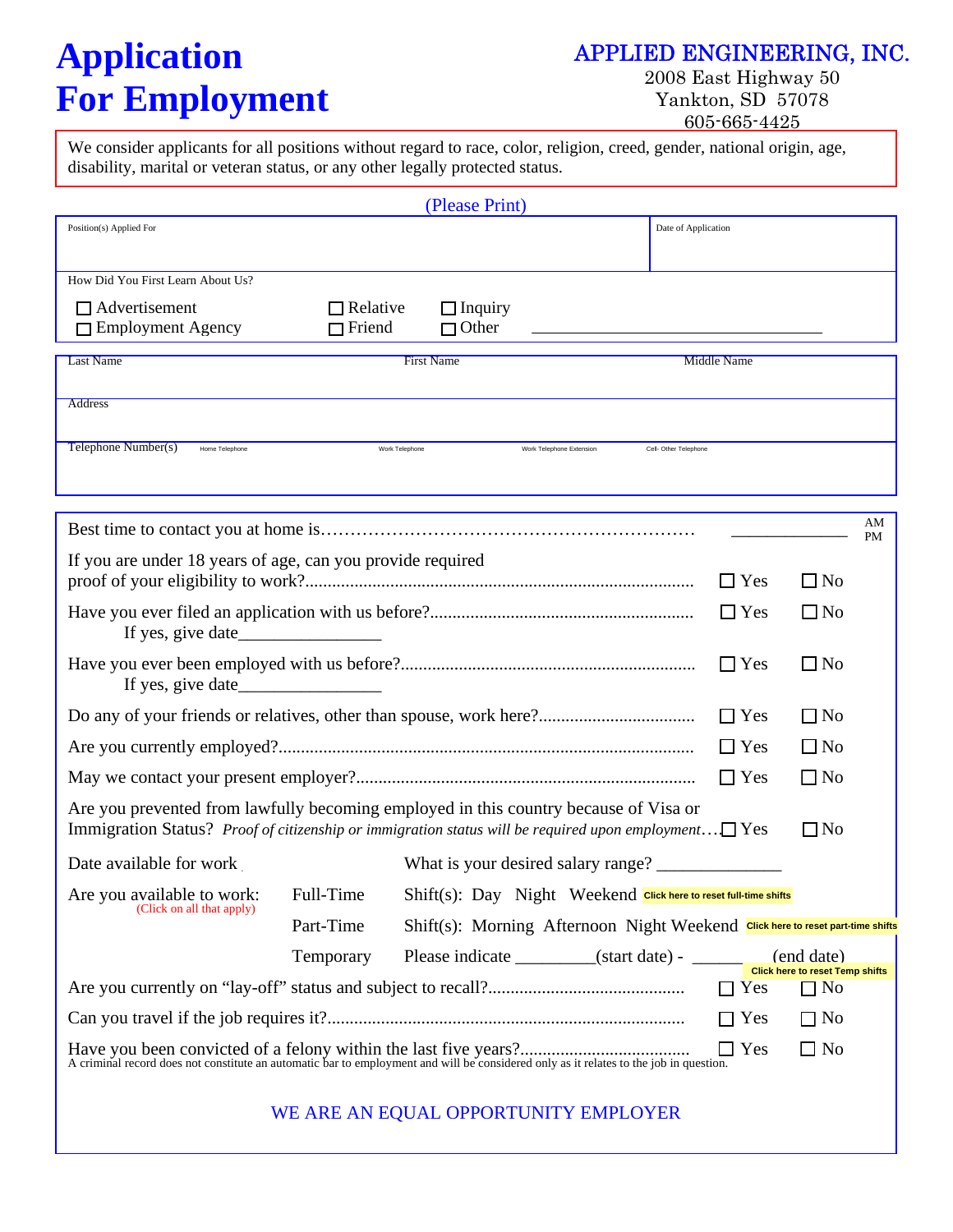# **Application APPLIED ENGINEERING, INC. For Employment** Yankton, SD 57078

2008 East Highway 50 605-665-4425

We consider applicants for all positions without regard to race, color, religion, creed, gender, national origin, age, disability, marital or veteran status, or any other legally protected status.

|                                                                                                                                                                                              |                                      | (Please Print)                                                                 |                          |                       |                    |                                              |           |
|----------------------------------------------------------------------------------------------------------------------------------------------------------------------------------------------|--------------------------------------|--------------------------------------------------------------------------------|--------------------------|-----------------------|--------------------|----------------------------------------------|-----------|
| Position(s) Applied For                                                                                                                                                                      |                                      |                                                                                |                          | Date of Application   |                    |                                              |           |
|                                                                                                                                                                                              |                                      |                                                                                |                          |                       |                    |                                              |           |
| How Did You First Learn About Us?                                                                                                                                                            |                                      |                                                                                |                          |                       |                    |                                              |           |
| $\Box$ Advertisement                                                                                                                                                                         | $\Box$ Relative                      | $\Box$ Inquiry                                                                 |                          |                       |                    |                                              |           |
| $\Box$ Employment Agency                                                                                                                                                                     | $\Box$ Friend                        | $\Box$ Other                                                                   |                          |                       |                    |                                              |           |
| <b>Last Name</b>                                                                                                                                                                             |                                      | <b>First Name</b>                                                              |                          |                       | <b>Middle Name</b> |                                              |           |
| Address                                                                                                                                                                                      |                                      |                                                                                |                          |                       |                    |                                              |           |
|                                                                                                                                                                                              |                                      |                                                                                |                          |                       |                    |                                              |           |
| Telephone Number(s)<br>Home Telephone                                                                                                                                                        | Work Telephone                       |                                                                                | Work Telephone Extension | Cell- Other Telephone |                    |                                              |           |
|                                                                                                                                                                                              |                                      |                                                                                |                          |                       |                    |                                              |           |
|                                                                                                                                                                                              |                                      |                                                                                |                          |                       |                    |                                              | AM        |
|                                                                                                                                                                                              |                                      |                                                                                |                          |                       |                    |                                              | <b>PM</b> |
| If you are under 18 years of age, can you provide required                                                                                                                                   |                                      |                                                                                |                          |                       | $\Box$ Yes         | $\square$ No                                 |           |
|                                                                                                                                                                                              |                                      |                                                                                |                          |                       |                    |                                              |           |
| If yes, give date                                                                                                                                                                            |                                      |                                                                                |                          |                       | $\Box$ Yes         | $\Box$ No                                    |           |
|                                                                                                                                                                                              |                                      |                                                                                |                          |                       | $\Box$ Yes         | $\Box$ No                                    |           |
|                                                                                                                                                                                              |                                      |                                                                                |                          |                       | $\Box$ Yes         | $\Box$ No                                    |           |
|                                                                                                                                                                                              |                                      |                                                                                |                          |                       | $\Box$ Yes         | $\Box$ No                                    |           |
|                                                                                                                                                                                              |                                      |                                                                                |                          |                       | $\Box$ Yes         | $\Box$ No                                    |           |
| Are you prevented from lawfully becoming employed in this country because of Visa or<br>Immigration Status? Proof of citizenship or immigration status will be required upon employment DYes |                                      |                                                                                |                          |                       |                    | $\Box$ No                                    |           |
| Date available for work                                                                                                                                                                      |                                      |                                                                                |                          |                       |                    |                                              |           |
| Are you available to work: Full-Time                                                                                                                                                         |                                      | Shift(s): Day Night Weekend Click here to reset full-time shifts               |                          |                       |                    |                                              |           |
| (Click on all that apply)                                                                                                                                                                    | Part-Time                            | Shift(s): Morning Afternoon Night Weekend Click here to reset part-time shifts |                          |                       |                    |                                              |           |
|                                                                                                                                                                                              | Temporary                            |                                                                                |                          |                       |                    | (end date)                                   |           |
|                                                                                                                                                                                              |                                      |                                                                                |                          |                       | $\Box$ Yes         | Click here to reset Temp shifts<br>$\Box$ No |           |
|                                                                                                                                                                                              |                                      |                                                                                |                          |                       | $\Box$ Yes         | $\Box$ No                                    |           |
|                                                                                                                                                                                              |                                      |                                                                                |                          |                       | $\Box$ Yes         | $\square$ No                                 |           |
|                                                                                                                                                                                              | WE ARE AN EQUAL OPPORTUNITY EMPLOYER |                                                                                |                          |                       |                    |                                              |           |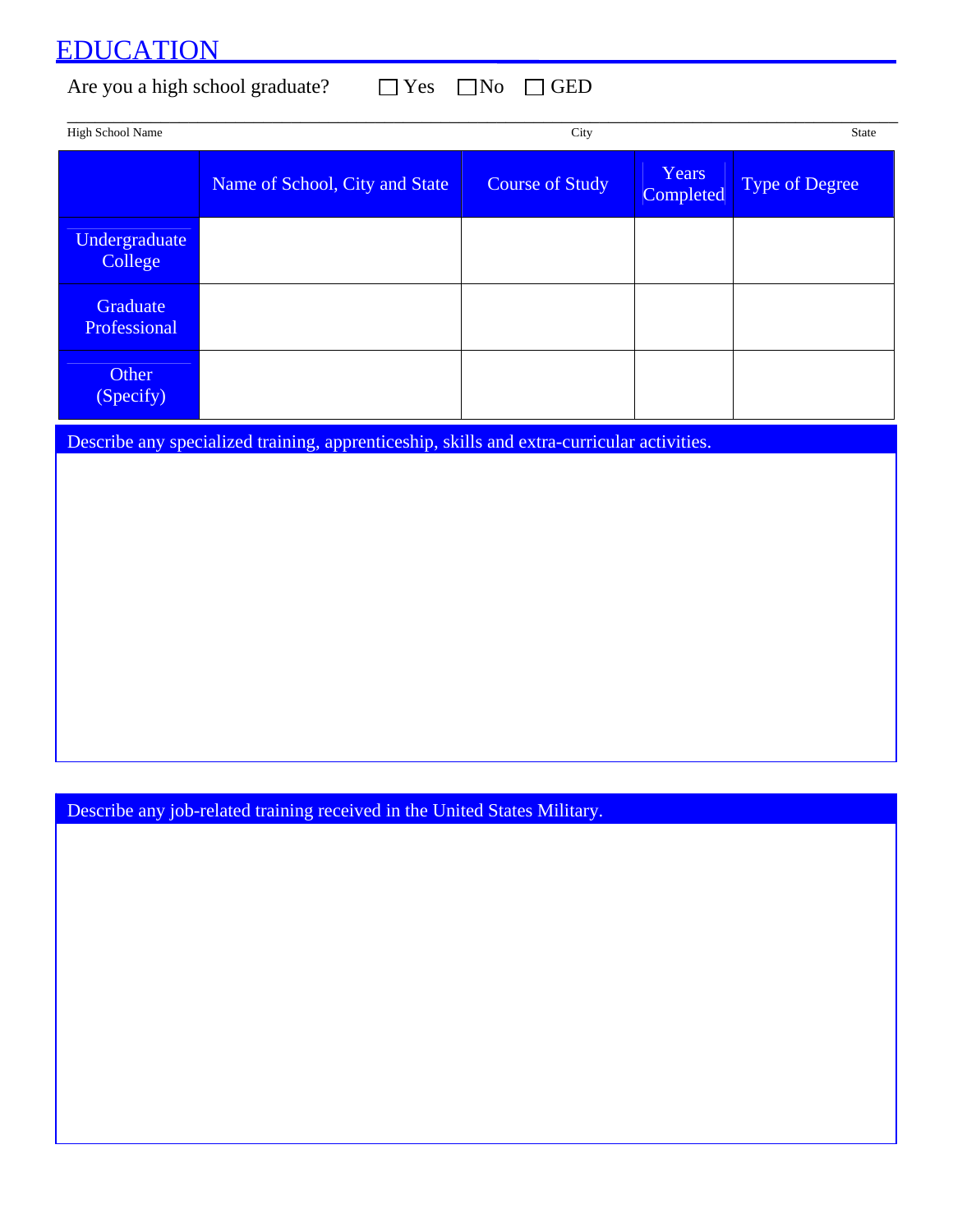### EDUCATION

Are you a high school graduate?  $\Box$  Yes  $\Box$  No  $\Box$  GED

| <b>High School Name</b>  |                                | City                   |                           | State                 |
|--------------------------|--------------------------------|------------------------|---------------------------|-----------------------|
|                          | Name of School, City and State | <b>Course of Study</b> | Years<br><b>Completed</b> | <b>Type of Degree</b> |
| Undergraduate<br>College |                                |                        |                           |                       |
| Graduate<br>Professional |                                |                        |                           |                       |
| Other<br>(Specify)       |                                |                        |                           |                       |

Describe any specialized training, apprenticeship, skills and extra-curricular activities.

Describe any job-related training received in the United States Military.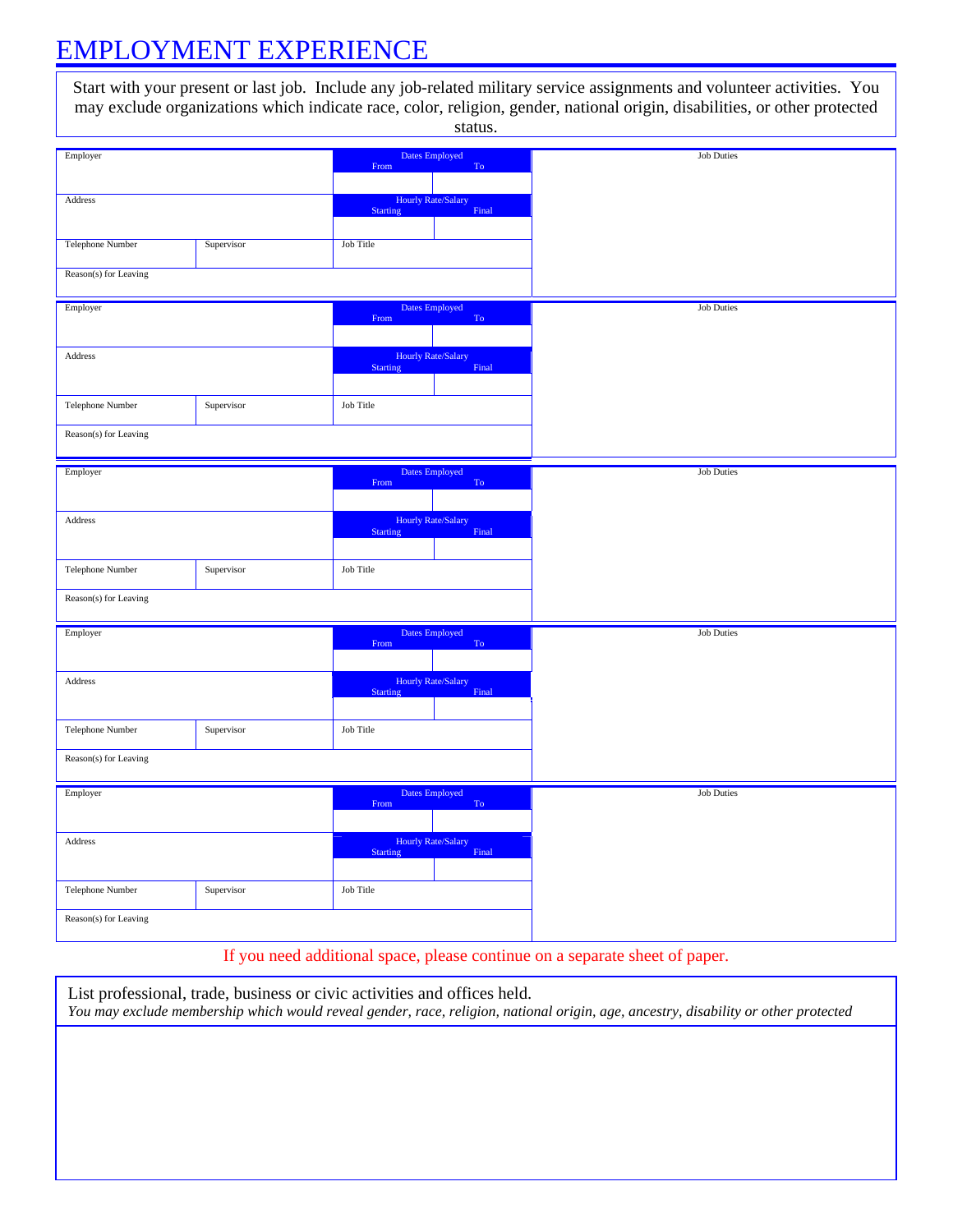### EMPLOYMENT EXPERIENCE

Start with your present or last job. Include any job-related military service assignments and volunteer activities. You may exclude organizations which indicate race, color, religion, gender, national origin, disabilities, or other protected status.

| Employer                |            | From                         | Dates Employed<br>To               | <b>Job Duties</b> |
|-------------------------|------------|------------------------------|------------------------------------|-------------------|
|                         |            |                              |                                    |                   |
|                         |            |                              |                                    |                   |
| Address                 |            |                              | <b>Hourly Rate/Salary</b>          |                   |
|                         |            | Starting                     | Final                              |                   |
|                         |            |                              |                                    |                   |
|                         |            |                              |                                    |                   |
| <b>Telephone Number</b> | Supervisor | Job Title                    |                                    |                   |
|                         |            |                              |                                    |                   |
| Reason(s) for Leaving   |            |                              |                                    |                   |
|                         |            |                              |                                    |                   |
|                         |            |                              |                                    |                   |
| Employer                |            |                              | Dates Employed                     | <b>Job Duties</b> |
|                         |            | $\ensuremath{\mathrm{From}}$ | $\operatorname{To}$                |                   |
|                         |            |                              |                                    |                   |
|                         |            |                              |                                    |                   |
| Address                 |            |                              | Hourly Rate/Salary                 |                   |
|                         |            | Starting                     | Final                              |                   |
|                         |            |                              |                                    |                   |
|                         |            |                              |                                    |                   |
| Telephone Number        | Supervisor | Job Title                    |                                    |                   |
|                         |            |                              |                                    |                   |
| Reason(s) for Leaving   |            |                              |                                    |                   |
|                         |            |                              |                                    |                   |
|                         |            |                              |                                    |                   |
| Employer                |            |                              | Dates Employed                     | <b>Job Duties</b> |
|                         |            | From                         | To                                 |                   |
|                         |            |                              |                                    |                   |
|                         |            |                              |                                    |                   |
| Address                 |            |                              | <b>Hourly Rate/Salary</b>          |                   |
|                         |            | <b>Starting</b>              | Final                              |                   |
|                         |            |                              |                                    |                   |
|                         |            |                              |                                    |                   |
| Telephone Number        | Supervisor | Job Title                    |                                    |                   |
|                         |            |                              |                                    |                   |
| Reason(s) for Leaving   |            |                              |                                    |                   |
|                         |            |                              |                                    |                   |
|                         |            |                              |                                    |                   |
| Employer                |            |                              | Dates Employed                     | <b>Job Duties</b> |
|                         |            | From                         | To \                               |                   |
|                         |            |                              |                                    |                   |
|                         |            |                              |                                    |                   |
| Address                 |            | Starting                     | <b>Hourly Rate/Salary</b><br>Final |                   |
|                         |            |                              |                                    |                   |
|                         |            |                              |                                    |                   |
| Telephone Number        | Supervisor | Job Title                    |                                    |                   |
|                         |            |                              |                                    |                   |
|                         |            |                              |                                    |                   |
| Reason(s) for Leaving   |            |                              |                                    |                   |
|                         |            |                              |                                    |                   |
| Employer                |            |                              | Dates Employed                     | <b>Job Duties</b> |
|                         |            | From                         | To                                 |                   |
|                         |            |                              |                                    |                   |
|                         |            |                              |                                    |                   |
| Address                 |            |                              | <b>Hourly Rate/Salary</b>          |                   |
|                         |            | Starting                     | Final                              |                   |
|                         |            |                              |                                    |                   |
|                         |            |                              |                                    |                   |
| Telephone Number        | Supervisor | Job Title                    |                                    |                   |
|                         |            |                              |                                    |                   |
| Reason(s) for Leaving   |            |                              |                                    |                   |
|                         |            |                              |                                    |                   |
|                         |            |                              |                                    |                   |

If you need additional space, please continue on a separate sheet of paper.

List professional, trade, business or civic activities and offices held. *You may exclude membership which would reveal gender, race, religion, national origin, age, ancestry, disability or other protected*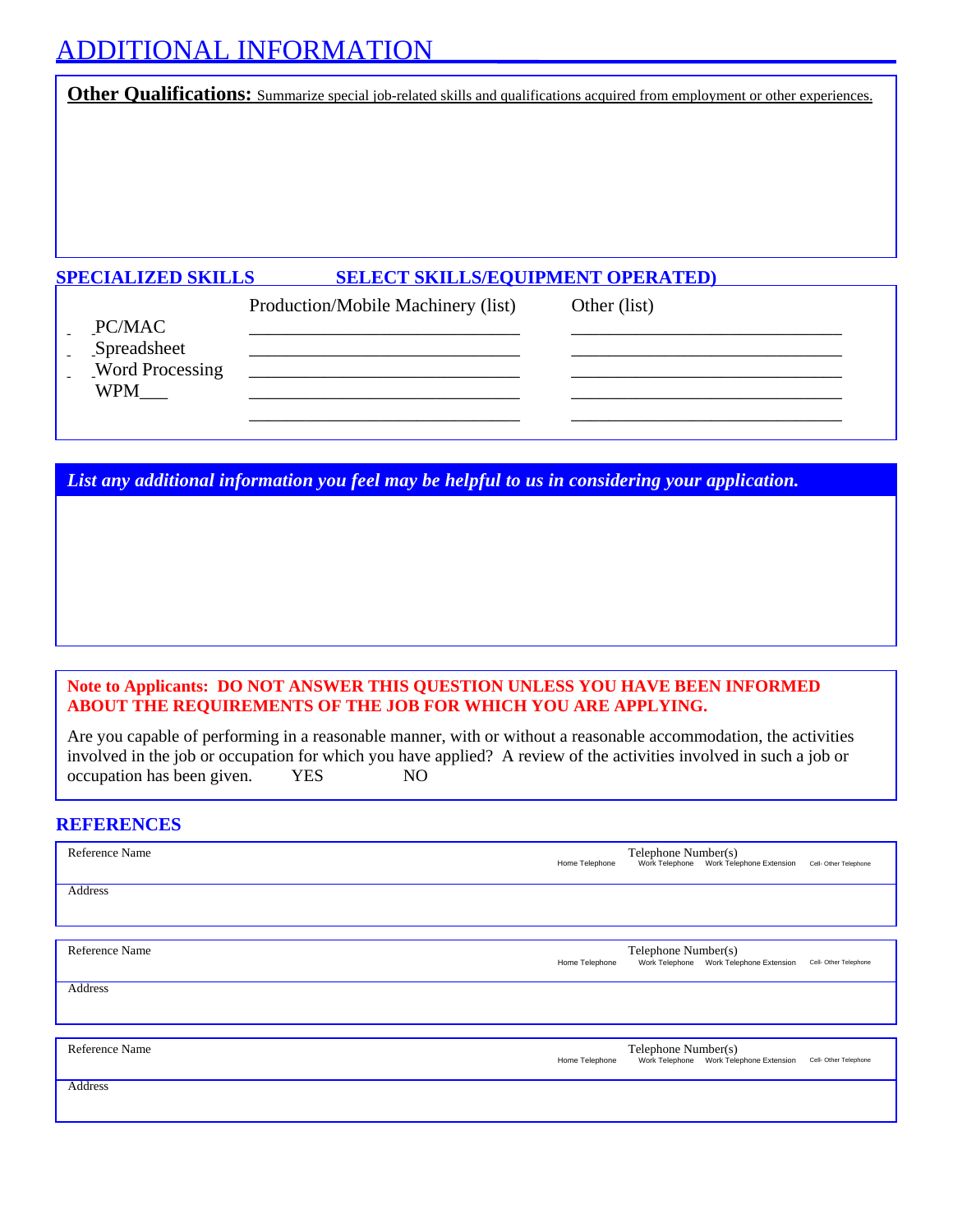### ADDITIONAL INFORMATION

**Other Qualifications:** Summarize special job-related skills and qualifications acquired from employment or other experiences.

#### **SPECIALIZED SKILLS SELECT SKILLS/EQUIPMENT OPERATED)**

|                                      | Production/Mobile Machinery (list) | Other (list) |
|--------------------------------------|------------------------------------|--------------|
| PC/MAC<br>Spreadsheet                |                                    |              |
| <b>Word Processing</b><br><b>WPM</b> |                                    |              |
|                                      |                                    |              |

*List any additional information you feel may be helpful to us in considering your application.*

*State any additional information you feel may be helpful to us in considering your application.* 

#### **Note to Applicants: DO NOT ANSWER THIS QUESTION UNLESS YOU HAVE BEEN INFORMED ABOUT THE REQUIREMENTS OF THE JOB FOR WHICH YOU ARE APPLYING.**

Are you capable of performing in a reasonable manner, with or without a reasonable accommodation, the activities involved in the job or occupation for which you have applied? A review of the activities involved in such a job or occupation has been given. YES NO

#### **REFERENCES**

| Reference Name | Telephone Number(s)<br>Work Telephone Work Telephone Extension<br>Home Telephone<br>Cell- Other Telephone |
|----------------|-----------------------------------------------------------------------------------------------------------|
| Address        |                                                                                                           |
| Reference Name | Telephone Number(s)<br>Work Telephone Work Telephone Extension<br>Home Telephone<br>Cell- Other Telephone |
| <b>Address</b> |                                                                                                           |
| Reference Name | Telephone Number(s)<br>Work Telephone Work Telephone Extension<br>Home Telephone<br>Cell- Other Telephone |
| <b>Address</b> |                                                                                                           |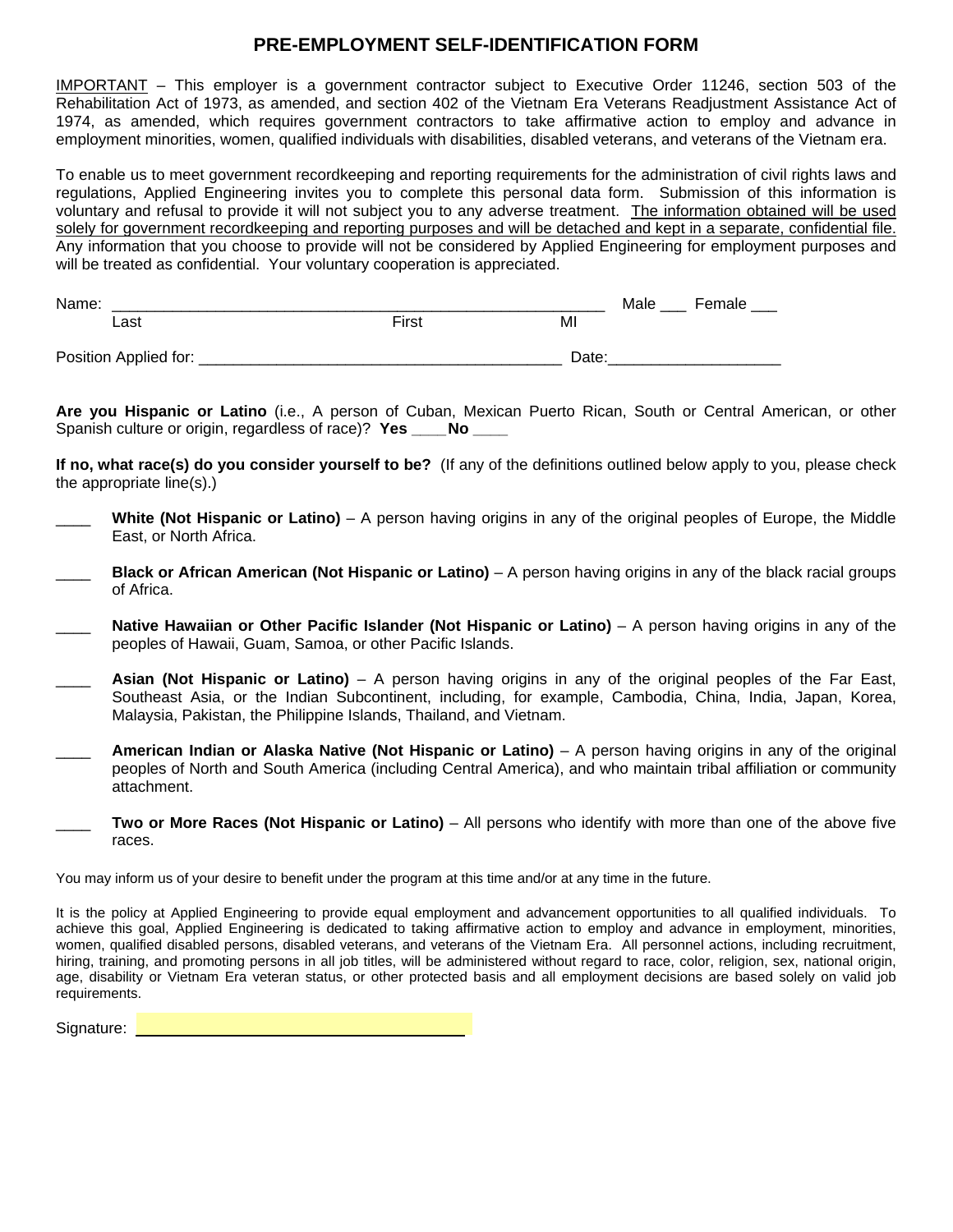#### **PRE-EMPLOYMENT SELF-IDENTIFICATION FORM**

IMPORTANT – This employer is a government contractor subject to Executive Order 11246, section 503 of the Rehabilitation Act of 1973, as amended, and section 402 of the Vietnam Era Veterans Readjustment Assistance Act of 1974, as amended, which requires government contractors to take affirmative action to employ and advance in employment minorities, women, qualified individuals with disabilities, disabled veterans, and veterans of the Vietnam era.

To enable us to meet government recordkeeping and reporting requirements for the administration of civil rights laws and regulations, Applied Engineering invites you to complete this personal data form. Submission of this information is voluntary and refusal to provide it will not subject you to any adverse treatment. The information obtained will be used solely for government recordkeeping and reporting purposes and will be detached and kept in a separate, confidential file. Any information that you choose to provide will not be considered by Applied Engineering for employment purposes and will be treated as confidential. Your voluntary cooperation is appreciated.

| Name:                 |       |       | Male<br>Female |
|-----------------------|-------|-------|----------------|
| Last                  | First | MI    |                |
| Position Applied for: |       | Date: |                |

**Are you Hispanic or Latino** (i.e., A person of Cuban, Mexican Puerto Rican, South or Central American, or other Spanish culture or origin, regardless of race)? **Yes \_\_\_\_ No \_\_\_\_**

**If no, what race(s) do you consider yourself to be?** (If any of the definitions outlined below apply to you, please check the appropriate line(s).)

- \_\_\_\_ **White (Not Hispanic or Latino)** A person having origins in any of the original peoples of Europe, the Middle East, or North Africa.
- \_\_\_\_ **Black or African American (Not Hispanic or Latino)** A person having origins in any of the black racial groups of Africa.
- **Native Hawaiian or Other Pacific Islander (Not Hispanic or Latino)** A person having origins in any of the peoples of Hawaii, Guam, Samoa, or other Pacific Islands.
- \_\_\_\_ **Asian (Not Hispanic or Latino)** A person having origins in any of the original peoples of the Far East, Southeast Asia, or the Indian Subcontinent, including, for example, Cambodia, China, India, Japan, Korea, Malaysia, Pakistan, the Philippine Islands, Thailand, and Vietnam.
- \_\_\_\_ **American Indian or Alaska Native (Not Hispanic or Latino)** A person having origins in any of the original peoples of North and South America (including Central America), and who maintain tribal affiliation or community attachment.
- \_\_\_\_ **Two or More Races (Not Hispanic or Latino)** All persons who identify with more than one of the above five races.

You may inform us of your desire to benefit under the program at this time and/or at any time in the future.

It is the policy at Applied Engineering to provide equal employment and advancement opportunities to all qualified individuals. To achieve this goal, Applied Engineering is dedicated to taking affirmative action to employ and advance in employment, minorities, women, qualified disabled persons, disabled veterans, and veterans of the Vietnam Era. All personnel actions, including recruitment, hiring, training, and promoting persons in all job titles, will be administered without regard to race, color, religion, sex, national origin, age, disability or Vietnam Era veteran status, or other protected basis and all employment decisions are based solely on valid job requirements.

| Signature: |  |
|------------|--|
|            |  |